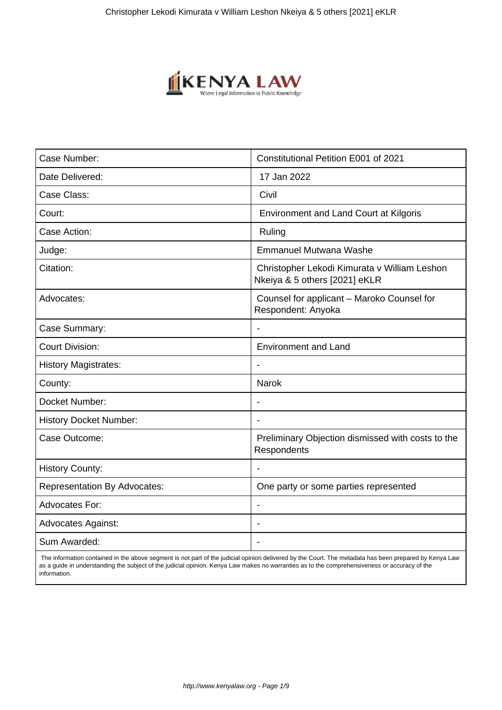

| Case Number:                        | Constitutional Petition E001 of 2021                                          |
|-------------------------------------|-------------------------------------------------------------------------------|
| Date Delivered:                     | 17 Jan 2022                                                                   |
| Case Class:                         | Civil                                                                         |
| Court:                              | <b>Environment and Land Court at Kilgoris</b>                                 |
| Case Action:                        | Ruling                                                                        |
| Judge:                              | <b>Emmanuel Mutwana Washe</b>                                                 |
| Citation:                           | Christopher Lekodi Kimurata v William Leshon<br>Nkeiya & 5 others [2021] eKLR |
| Advocates:                          | Counsel for applicant - Maroko Counsel for<br>Respondent: Anyoka              |
| Case Summary:                       |                                                                               |
| <b>Court Division:</b>              | <b>Environment and Land</b>                                                   |
| <b>History Magistrates:</b>         | $\overline{\phantom{a}}$                                                      |
| County:                             | <b>Narok</b>                                                                  |
| Docket Number:                      |                                                                               |
| <b>History Docket Number:</b>       | $\blacksquare$                                                                |
| Case Outcome:                       | Preliminary Objection dismissed with costs to the<br>Respondents              |
| <b>History County:</b>              |                                                                               |
| <b>Representation By Advocates:</b> | One party or some parties represented                                         |
| Advocates For:                      | $\blacksquare$                                                                |
| <b>Advocates Against:</b>           | $\blacksquare$                                                                |
| Sum Awarded:                        |                                                                               |

 The information contained in the above segment is not part of the judicial opinion delivered by the Court. The metadata has been prepared by Kenya Law as a guide in understanding the subject of the judicial opinion. Kenya Law makes no warranties as to the comprehensiveness or accuracy of the information.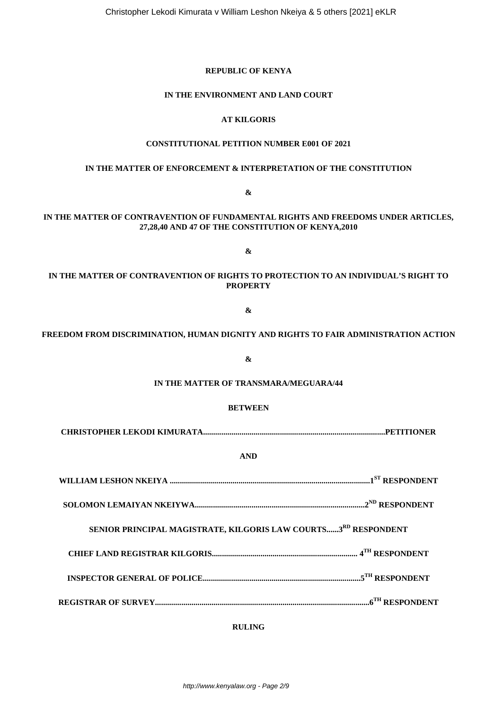## **REPUBLIC OF KENYA**

### **IN THE ENVIRONMENT AND LAND COURT**

## **AT KILGORIS**

# **CONSTITUTIONAL PETITION NUMBER E001 OF 2021**

## **IN THE MATTER OF ENFORCEMENT & INTERPRETATION OF THE CONSTITUTION**

**&**

# **IN THE MATTER OF CONTRAVENTION OF FUNDAMENTAL RIGHTS AND FREEDOMS UNDER ARTICLES, 27,28,40 AND 47 OF THE CONSTITUTION OF KENYA,2010**

**&**

# **IN THE MATTER OF CONTRAVENTION OF RIGHTS TO PROTECTION TO AN INDIVIDUAL'S RIGHT TO PROPERTY**

## **&**

## **FREEDOM FROM DISCRIMINATION, HUMAN DIGNITY AND RIGHTS TO FAIR ADMINISTRATION ACTION**

**&**

## **IN THE MATTER OF TRANSMARA/MEGUARA/44**

#### **BETWEEN**

**CHRISTOPHER LEKODI KIMURATA..........................................................................................PETITIONER**

## **AND**

| SENIOR PRINCIPAL MAGISTRATE, KILGORIS LAW COURTS3RD RESPONDENT |  |
|----------------------------------------------------------------|--|
|                                                                |  |
|                                                                |  |
|                                                                |  |

### **RULING**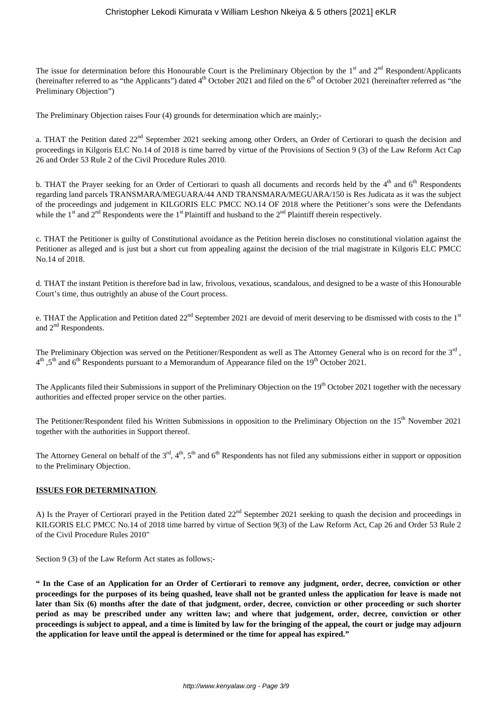## Christopher Lekodi Kimurata v William Leshon Nkeiya & 5 others [2021] eKLR

The issue for determination before this Honourable Court is the Preliminary Objection by the  $1<sup>st</sup>$  and  $2<sup>nd</sup>$  Respondent/Applicants (hereinafter referred to as "the Applicants") dated  $4<sup>th</sup>$  October 2021 and filed on the  $6<sup>th</sup>$  of October 2021 (hereinafter referred as "the Preliminary Objection")

The Preliminary Objection raises Four (4) grounds for determination which are mainly;-

a. THAT the Petition dated  $22<sup>nd</sup>$  September 2021 seeking among other Orders, an Order of Certiorari to quash the decision and proceedings in Kilgoris ELC No.14 of 2018 is time barred by virtue of the Provisions of Section 9 (3) of the Law Reform Act Cap 26 and Order 53 Rule 2 of the Civil Procedure Rules 2010.

b. THAT the Prayer seeking for an Order of Certiorari to quash all documents and records held by the 4<sup>th</sup> and 6<sup>th</sup> Respondents regarding land parcels TRANSMARA/MEGUARA/44 AND TRANSMARA/MEGUARA/150 is Res Judicata as it was the subject of the proceedings and judgement in KILGORIS ELC PMCC NO.14 OF 2018 where the Petitioner's sons were the Defendants while the 1<sup>st</sup> and 2<sup>nd</sup> Respondents were the 1<sup>st</sup> Plaintiff and husband to the 2<sup>nd</sup> Plaintiff therein respectively.

c. THAT the Petitioner is guilty of Constitutional avoidance as the Petition herein discloses no constitutional violation against the Petitioner as alleged and is just but a short cut from appealing against the decision of the trial magistrate in Kilgoris ELC PMCC No.14 of 2018.

d. THAT the instant Petition is therefore bad in law, frivolous, vexatious, scandalous, and designed to be a waste of this Honourable Court's time, thus outrightly an abuse of the Court process.

e. THAT the Application and Petition dated  $22<sup>nd</sup>$  September 2021 are devoid of merit deserving to be dismissed with costs to the  $1<sup>st</sup>$ and 2<sup>nd</sup> Respondents.

The Preliminary Objection was served on the Petitioner/Respondent as well as The Attorney General who is on record for the  $3<sup>rd</sup>$ ,  $4^{\text{th}}$  ,5<sup>th</sup> and 6<sup>th</sup> Respondents pursuant to a Memorandum of Appearance filed on the 19<sup>th</sup> October 2021.

The Applicants filed their Submissions in support of the Preliminary Objection on the 19<sup>th</sup> October 2021 together with the necessary authorities and effected proper service on the other parties.

The Petitioner/Respondent filed his Written Submissions in opposition to the Preliminary Objection on the 15<sup>th</sup> November 2021 together with the authorities in Support thereof.

The Attorney General on behalf of the  $3<sup>rd</sup>$ ,  $4<sup>th</sup>$ ,  $5<sup>th</sup>$  and  $6<sup>th</sup>$  Respondents has not filed any submissions either in support or opposition to the Preliminary Objection.

## **ISSUES FOR DETERMINATION**.

A) Is the Prayer of Certiorari prayed in the Petition dated 22<sup>nd</sup> September 2021 seeking to quash the decision and proceedings in KILGORIS ELC PMCC No.14 of 2018 time barred by virtue of Section 9(3) of the Law Reform Act, Cap 26 and Order 53 Rule 2 of the Civil Procedure Rules 2010"

Section 9 (3) of the Law Reform Act states as follows;-

**" In the Case of an Application for an Order of Certiorari to remove any judgment, order, decree, conviction or other proceedings for the purposes of its being quashed, leave shall not be granted unless the application for leave is made not later than Six (6) months after the date of that judgment, order, decree, conviction or other proceeding or such shorter period as may be prescribed under any written law; and where that judgement, order, decree, conviction or other proceedings is subject to appeal, and a time is limited by law for the bringing of the appeal, the court or judge may adjourn the application for leave until the appeal is determined or the time for appeal has expired."**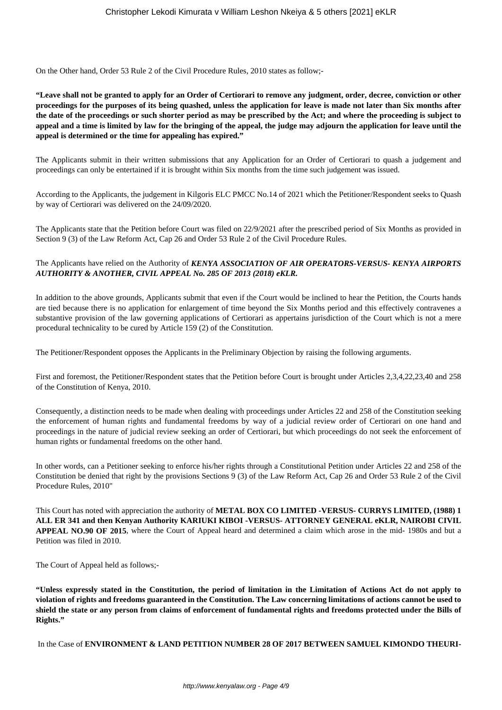On the Other hand, Order 53 Rule 2 of the Civil Procedure Rules, 2010 states as follow;-

**"Leave shall not be granted to apply for an Order of Certiorari to remove any judgment, order, decree, conviction or other proceedings for the purposes of its being quashed, unless the application for leave is made not later than Six months after the date of the proceedings or such shorter period as may be prescribed by the Act; and where the proceeding is subject to appeal and a time is limited by law for the bringing of the appeal, the judge may adjourn the application for leave until the appeal is determined or the time for appealing has expired."**

The Applicants submit in their written submissions that any Application for an Order of Certiorari to quash a judgement and proceedings can only be entertained if it is brought within Six months from the time such judgement was issued.

According to the Applicants, the judgement in Kilgoris ELC PMCC No.14 of 2021 which the Petitioner/Respondent seeks to Quash by way of Certiorari was delivered on the 24/09/2020.

The Applicants state that the Petition before Court was filed on 22/9/2021 after the prescribed period of Six Months as provided in Section 9 (3) of the Law Reform Act, Cap 26 and Order 53 Rule 2 of the Civil Procedure Rules.

## The Applicants have relied on the Authority of *KENYA ASSOCIATION OF AIR OPERATORS-VERSUS- KENYA AIRPORTS AUTHORITY & ANOTHER, CIVIL APPEAL No. 285 OF 2013 (2018) eKLR.*

In addition to the above grounds, Applicants submit that even if the Court would be inclined to hear the Petition, the Courts hands are tied because there is no application for enlargement of time beyond the Six Months period and this effectively contravenes a substantive provision of the law governing applications of Certiorari as appertains jurisdiction of the Court which is not a mere procedural technicality to be cured by Article 159 (2) of the Constitution.

The Petitioner/Respondent opposes the Applicants in the Preliminary Objection by raising the following arguments.

First and foremost, the Petitioner/Respondent states that the Petition before Court is brought under Articles 2,3,4,22,23,40 and 258 of the Constitution of Kenya, 2010.

Consequently, a distinction needs to be made when dealing with proceedings under Articles 22 and 258 of the Constitution seeking the enforcement of human rights and fundamental freedoms by way of a judicial review order of Certiorari on one hand and proceedings in the nature of judicial review seeking an order of Certiorari, but which proceedings do not seek the enforcement of human rights or fundamental freedoms on the other hand.

In other words, can a Petitioner seeking to enforce his/her rights through a Constitutional Petition under Articles 22 and 258 of the Constitution be denied that right by the provisions Sections 9 (3) of the Law Reform Act, Cap 26 and Order 53 Rule 2 of the Civil Procedure Rules, 2010"

This Court has noted with appreciation the authority of **METAL BOX CO LIMITED -VERSUS- CURRYS LIMITED, (1988) 1 ALL ER 341 and then Kenyan Authority KARIUKI KIBOI -VERSUS- ATTORNEY GENERAL eKLR, NAIROBI CIVIL APPEAL NO.90 OF 2015**, where the Court of Appeal heard and determined a claim which arose in the mid- 1980s and but a Petition was filed in 2010.

The Court of Appeal held as follows;-

**"Unless expressly stated in the Constitution, the period of limitation in the Limitation of Actions Act do not apply to violation of rights and freedoms guaranteed in the Constitution. The Law concerning limitations of actions cannot be used to shield the state or any person from claims of enforcement of fundamental rights and freedoms protected under the Bills of Rights."** 

In the Case of **ENVIRONMENT & LAND PETITION NUMBER 28 OF 2017 BETWEEN SAMUEL KIMONDO THEURI-**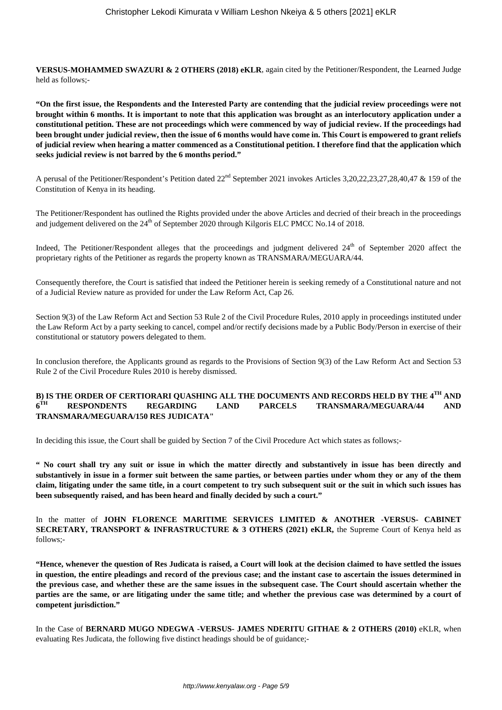**VERSUS-MOHAMMED SWAZURI & 2 OTHERS (2018) eKLR**, again cited by the Petitioner/Respondent, the Learned Judge held as follows;-

**"On the first issue, the Respondents and the Interested Party are contending that the judicial review proceedings were not brought within 6 months. It is important to note that this application was brought as an interlocutory application under a constitutional petition. These are not proceedings which were commenced by way of judicial review. If the proceedings had been brought under judicial review, then the issue of 6 months would have come in. This Court is empowered to grant reliefs of judicial review when hearing a matter commenced as a Constitutional petition. I therefore find that the application which seeks judicial review is not barred by the 6 months period."**

A perusal of the Petitioner/Respondent's Petition dated 22<sup>nd</sup> September 2021 invokes Articles 3,20,22,23,27,28,40,47 & 159 of the Constitution of Kenya in its heading.

The Petitioner/Respondent has outlined the Rights provided under the above Articles and decried of their breach in the proceedings and judgement delivered on the  $24<sup>th</sup>$  of September 2020 through Kilgoris ELC PMCC No.14 of 2018.

Indeed, The Petitioner/Respondent alleges that the proceedings and judgment delivered 24<sup>th</sup> of September 2020 affect the proprietary rights of the Petitioner as regards the property known as TRANSMARA/MEGUARA/44.

Consequently therefore, the Court is satisfied that indeed the Petitioner herein is seeking remedy of a Constitutional nature and not of a Judicial Review nature as provided for under the Law Reform Act, Cap 26.

Section 9(3) of the Law Reform Act and Section 53 Rule 2 of the Civil Procedure Rules, 2010 apply in proceedings instituted under the Law Reform Act by a party seeking to cancel, compel and/or rectify decisions made by a Public Body/Person in exercise of their constitutional or statutory powers delegated to them.

In conclusion therefore, the Applicants ground as regards to the Provisions of Section 9(3) of the Law Reform Act and Section 53 Rule 2 of the Civil Procedure Rules 2010 is hereby dismissed.

#### **B) IS THE ORDER OF CERTIORARI QUASHING ALL THE DOCUMENTS AND RECORDS HELD BY THE 4TH AND**  $6^{TH}$ **TH RESPONDENTS REGARDING LAND PARCELS TRANSMARA/MEGUARA/44 AND TRANSMARA/MEGUARA/150 RES JUDICATA"**

In deciding this issue, the Court shall be guided by Section 7 of the Civil Procedure Act which states as follows;-

**" No court shall try any suit or issue in which the matter directly and substantively in issue has been directly and substantively in issue in a former suit between the same parties, or between parties under whom they or any of the them claim, litigating under the same title, in a court competent to try such subsequent suit or the suit in which such issues has been subsequently raised, and has been heard and finally decided by such a court."**

In the matter of **JOHN FLORENCE MARITIME SERVICES LIMITED & ANOTHER -VERSUS- CABINET SECRETARY, TRANSPORT & INFRASTRUCTURE & 3 OTHERS (2021) eKLR,** the Supreme Court of Kenya held as follows;-

**"Hence, whenever the question of Res Judicata is raised, a Court will look at the decision claimed to have settled the issues in question, the entire pleadings and record of the previous case; and the instant case to ascertain the issues determined in the previous case, and whether these are the same issues in the subsequent case. The Court should ascertain whether the parties are the same, or are litigating under the same title; and whether the previous case was determined by a court of competent jurisdiction."**

In the Case of **BERNARD MUGO NDEGWA -VERSUS- JAMES NDERITU GITHAE & 2 OTHERS (2010)** eKLR, when evaluating Res Judicata, the following five distinct headings should be of guidance;-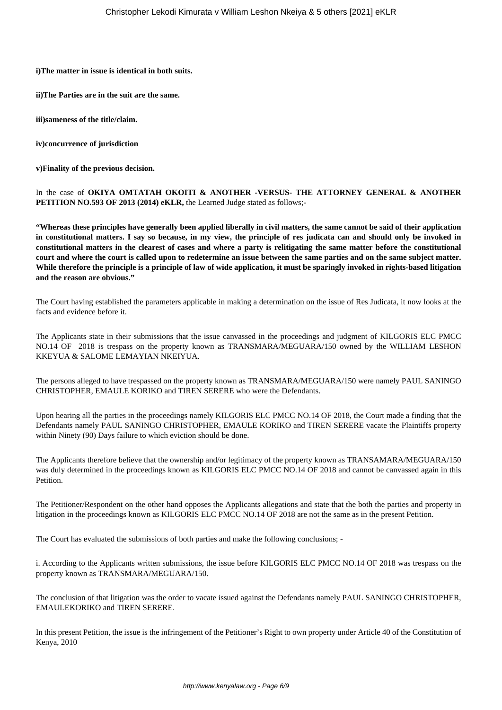**i)The matter in issue is identical in both suits.**

**ii)The Parties are in the suit are the same.**

**iii)sameness of the title/claim.**

**iv)concurrence of jurisdiction**

**v)Finality of the previous decision.** 

In the case of **OKIYA OMTATAH OKOITI & ANOTHER -VERSUS- THE ATTORNEY GENERAL & ANOTHER PETITION NO.593 OF 2013 (2014) eKLR,** the Learned Judge stated as follows;-

**"Whereas these principles have generally been applied liberally in civil matters, the same cannot be said of their application in constitutional matters. I say so because, in my view, the principle of res judicata can and should only be invoked in constitutional matters in the clearest of cases and where a party is relitigating the same matter before the constitutional court and where the court is called upon to redetermine an issue between the same parties and on the same subject matter. While therefore the principle is a principle of law of wide application, it must be sparingly invoked in rights-based litigation and the reason are obvious."**

The Court having established the parameters applicable in making a determination on the issue of Res Judicata, it now looks at the facts and evidence before it.

The Applicants state in their submissions that the issue canvassed in the proceedings and judgment of KILGORIS ELC PMCC NO.14 OF 2018 is trespass on the property known as TRANSMARA/MEGUARA/150 owned by the WILLIAM LESHON KKEYUA & SALOME LEMAYIAN NKEIYUA.

The persons alleged to have trespassed on the property known as TRANSMARA/MEGUARA/150 were namely PAUL SANINGO CHRISTOPHER, EMAULE KORIKO and TIREN SERERE who were the Defendants.

Upon hearing all the parties in the proceedings namely KILGORIS ELC PMCC NO.14 OF 2018, the Court made a finding that the Defendants namely PAUL SANINGO CHRISTOPHER, EMAULE KORIKO and TIREN SERERE vacate the Plaintiffs property within Ninety (90) Days failure to which eviction should be done.

The Applicants therefore believe that the ownership and/or legitimacy of the property known as TRANSAMARA/MEGUARA/150 was duly determined in the proceedings known as KILGORIS ELC PMCC NO.14 OF 2018 and cannot be canvassed again in this Petition.

The Petitioner/Respondent on the other hand opposes the Applicants allegations and state that the both the parties and property in litigation in the proceedings known as KILGORIS ELC PMCC NO.14 OF 2018 are not the same as in the present Petition.

The Court has evaluated the submissions of both parties and make the following conclusions; -

i. According to the Applicants written submissions, the issue before KILGORIS ELC PMCC NO.14 OF 2018 was trespass on the property known as TRANSMARA/MEGUARA/150.

The conclusion of that litigation was the order to vacate issued against the Defendants namely PAUL SANINGO CHRISTOPHER, EMAULEKORIKO and TIREN SERERE.

In this present Petition, the issue is the infringement of the Petitioner's Right to own property under Article 40 of the Constitution of Kenya, 2010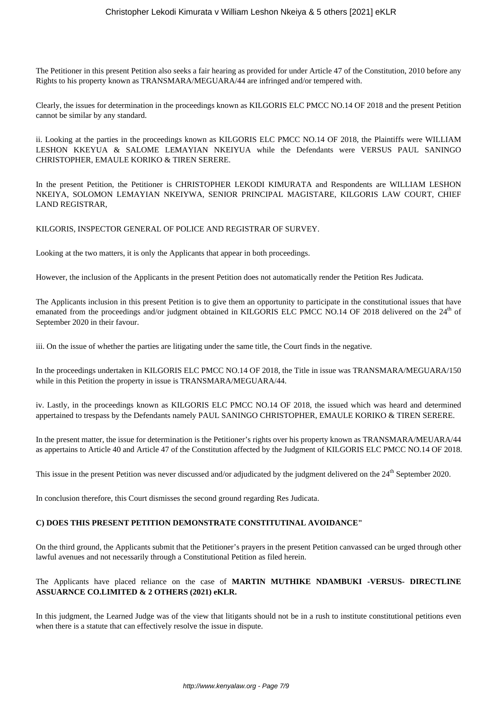The Petitioner in this present Petition also seeks a fair hearing as provided for under Article 47 of the Constitution, 2010 before any Rights to his property known as TRANSMARA/MEGUARA/44 are infringed and/or tempered with.

Clearly, the issues for determination in the proceedings known as KILGORIS ELC PMCC NO.14 OF 2018 and the present Petition cannot be similar by any standard.

ii. Looking at the parties in the proceedings known as KILGORIS ELC PMCC NO.14 OF 2018, the Plaintiffs were WILLIAM LESHON KKEYUA & SALOME LEMAYIAN NKEIYUA while the Defendants were VERSUS PAUL SANINGO CHRISTOPHER, EMAULE KORIKO & TIREN SERERE.

In the present Petition, the Petitioner is CHRISTOPHER LEKODI KIMURATA and Respondents are WILLIAM LESHON NKEIYA, SOLOMON LEMAYIAN NKEIYWA, SENIOR PRINCIPAL MAGISTARE, KILGORIS LAW COURT, CHIEF LAND REGISTRAR,

KILGORIS, INSPECTOR GENERAL OF POLICE AND REGISTRAR OF SURVEY.

Looking at the two matters, it is only the Applicants that appear in both proceedings.

However, the inclusion of the Applicants in the present Petition does not automatically render the Petition Res Judicata.

The Applicants inclusion in this present Petition is to give them an opportunity to participate in the constitutional issues that have emanated from the proceedings and/or judgment obtained in KILGORIS ELC PMCC NO.14 OF 2018 delivered on the 24<sup>th</sup> of September 2020 in their favour.

iii. On the issue of whether the parties are litigating under the same title, the Court finds in the negative.

In the proceedings undertaken in KILGORIS ELC PMCC NO.14 OF 2018, the Title in issue was TRANSMARA/MEGUARA/150 while in this Petition the property in issue is TRANSMARA/MEGUARA/44.

iv. Lastly, in the proceedings known as KILGORIS ELC PMCC NO.14 OF 2018, the issued which was heard and determined appertained to trespass by the Defendants namely PAUL SANINGO CHRISTOPHER, EMAULE KORIKO & TIREN SERERE.

In the present matter, the issue for determination is the Petitioner's rights over his property known as TRANSMARA/MEUARA/44 as appertains to Article 40 and Article 47 of the Constitution affected by the Judgment of KILGORIS ELC PMCC NO.14 OF 2018.

This issue in the present Petition was never discussed and/or adjudicated by the judgment delivered on the  $24<sup>th</sup>$  September 2020.

In conclusion therefore, this Court dismisses the second ground regarding Res Judicata.

## **C) DOES THIS PRESENT PETITION DEMONSTRATE CONSTITUTINAL AVOIDANCE"**

On the third ground, the Applicants submit that the Petitioner's prayers in the present Petition canvassed can be urged through other lawful avenues and not necessarily through a Constitutional Petition as filed herein.

## The Applicants have placed reliance on the case of **MARTIN MUTHIKE NDAMBUKI -VERSUS- DIRECTLINE ASSUARNCE CO.LIMITED & 2 OTHERS (2021) eKLR.**

In this judgment, the Learned Judge was of the view that litigants should not be in a rush to institute constitutional petitions even when there is a statute that can effectively resolve the issue in dispute.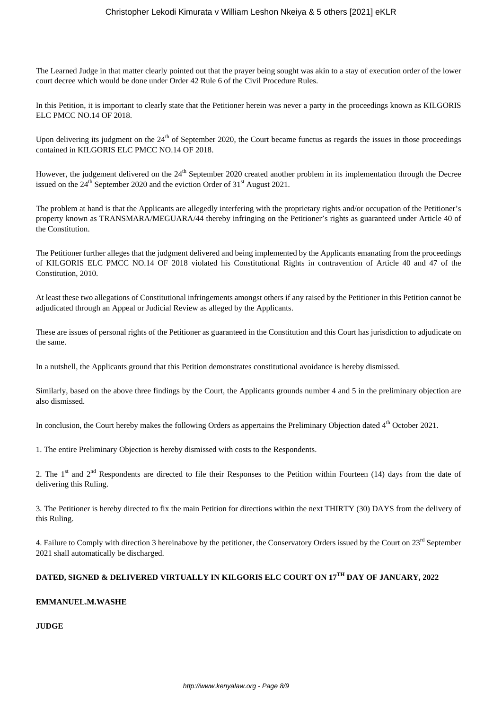The Learned Judge in that matter clearly pointed out that the prayer being sought was akin to a stay of execution order of the lower court decree which would be done under Order 42 Rule 6 of the Civil Procedure Rules.

In this Petition, it is important to clearly state that the Petitioner herein was never a party in the proceedings known as KILGORIS ELC PMCC NO.14 OF 2018.

Upon delivering its judgment on the 24<sup>th</sup> of September 2020, the Court became functus as regards the issues in those proceedings contained in KILGORIS ELC PMCC NO.14 OF 2018.

However, the judgement delivered on the 24<sup>th</sup> September 2020 created another problem in its implementation through the Decree issued on the  $24<sup>th</sup>$  September 2020 and the eviction Order of  $31<sup>st</sup>$  August 2021.

The problem at hand is that the Applicants are allegedly interfering with the proprietary rights and/or occupation of the Petitioner's property known as TRANSMARA/MEGUARA/44 thereby infringing on the Petitioner's rights as guaranteed under Article 40 of the Constitution.

The Petitioner further alleges that the judgment delivered and being implemented by the Applicants emanating from the proceedings of KILGORIS ELC PMCC NO.14 OF 2018 violated his Constitutional Rights in contravention of Article 40 and 47 of the Constitution, 2010.

At least these two allegations of Constitutional infringements amongst others if any raised by the Petitioner in this Petition cannot be adjudicated through an Appeal or Judicial Review as alleged by the Applicants.

These are issues of personal rights of the Petitioner as guaranteed in the Constitution and this Court has jurisdiction to adjudicate on the same.

In a nutshell, the Applicants ground that this Petition demonstrates constitutional avoidance is hereby dismissed.

Similarly, based on the above three findings by the Court, the Applicants grounds number 4 and 5 in the preliminary objection are also dismissed.

In conclusion, the Court hereby makes the following Orders as appertains the Preliminary Objection dated 4<sup>th</sup> October 2021.

1. The entire Preliminary Objection is hereby dismissed with costs to the Respondents.

2. The 1<sup>st</sup> and  $2<sup>nd</sup>$  Respondents are directed to file their Responses to the Petition within Fourteen (14) days from the date of delivering this Ruling.

3. The Petitioner is hereby directed to fix the main Petition for directions within the next THIRTY (30) DAYS from the delivery of this Ruling.

4. Failure to Comply with direction 3 hereinabove by the petitioner, the Conservatory Orders issued by the Court on 23<sup>rd</sup> September 2021 shall automatically be discharged.

# **DATED, SIGNED & DELIVERED VIRTUALLY IN KILGORIS ELC COURT ON 17TH DAY OF JANUARY, 2022**

## **EMMANUEL.M.WASHE**

**JUDGE**